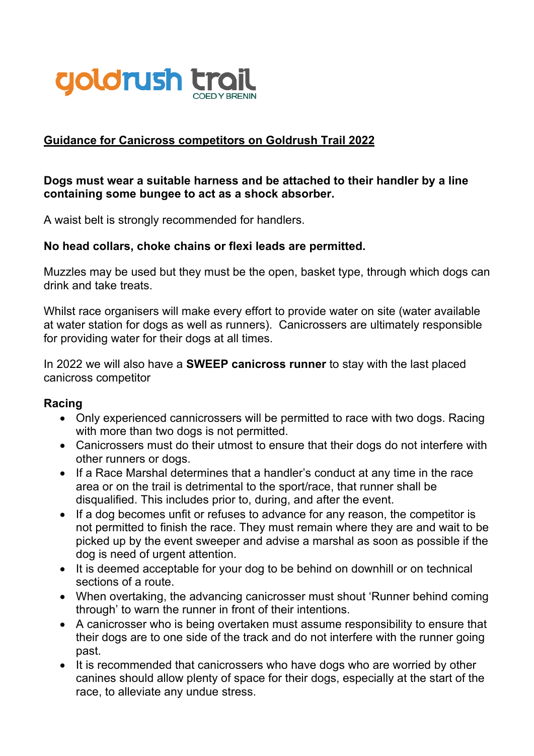

## **Guidance for Canicross competitors on Goldrush Trail 2022**

## **Dogs must wear a suitable harness and be attached to their handler by a line containing some bungee to act as a shock absorber.**

A waist belt is strongly recommended for handlers.

## **No head collars, choke chains or flexi leads are permitted.**

Muzzles may be used but they must be the open, basket type, through which dogs can drink and take treats.

Whilst race organisers will make every effort to provide water on site (water available at water station for dogs as well as runners). Canicrossers are ultimately responsible for providing water for their dogs at all times.

In 2022 we will also have a **SWEEP canicross runner** to stay with the last placed canicross competitor

## **Racing**

- Only experienced cannicrossers will be permitted to race with two dogs. Racing with more than two dogs is not permitted.
- Canicrossers must do their utmost to ensure that their dogs do not interfere with other runners or dogs.
- If a Race Marshal determines that a handler's conduct at any time in the race area or on the trail is detrimental to the sport/race, that runner shall be disqualified. This includes prior to, during, and after the event.
- If a dog becomes unfit or refuses to advance for any reason, the competitor is not permitted to finish the race. They must remain where they are and wait to be picked up by the event sweeper and advise a marshal as soon as possible if the dog is need of urgent attention.
- It is deemed acceptable for your dog to be behind on downhill or on technical sections of a route.
- When overtaking, the advancing canicrosser must shout 'Runner behind coming through' to warn the runner in front of their intentions.
- A canicrosser who is being overtaken must assume responsibility to ensure that their dogs are to one side of the track and do not interfere with the runner going past.
- It is recommended that canicrossers who have dogs who are worried by other canines should allow plenty of space for their dogs, especially at the start of the race, to alleviate any undue stress.